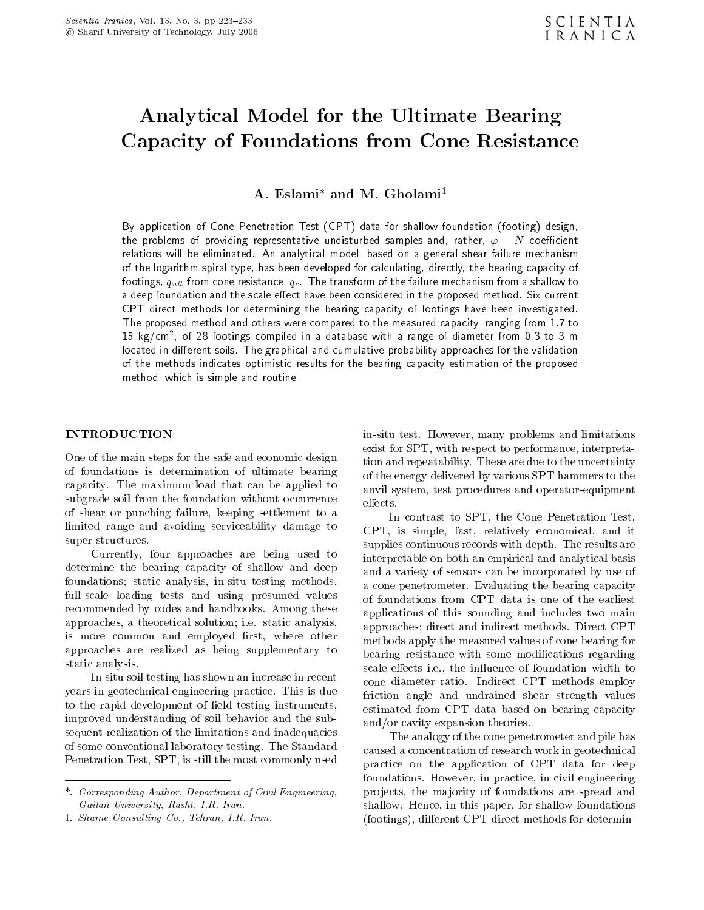# Analytical Model for the Ultimate Bearing Capacity of Foundations from Cone Resistance

A. Eslami<sup>\*</sup> and M. Gholami<sup>1</sup>

By application of Cone Penetration Test (CPT) data for shallow foundation (footing) design, the problems of providing representative undisturbed samples and, rather,  $\varphi$  N coefficient relations will be eliminated. An analytical model, based on a general shear failure mechanism of the logarithm spiral type, has been developed for calculating, directly, the bearing capacity of foothings, quantum cone resistance, quantum from a shallow to transform of the failure mechanism from a shallow to the failure mechanism from a shallow to the failure mechanism from a shallow to the failure mechanism from a deep foundation and the scale effect have been considered in the proposed method. Six current CPT direct methods for determining the bearing capacity of footings have been investigated. The proposed method and others were compared to the measured capacity, ranging from 1.7 to <sup>15</sup> kg/cm<sup>2</sup> , of <sup>28</sup> footings compiled in <sup>a</sup> database with <sup>a</sup> range of diameter from 0.3 to <sup>3</sup> <sup>m</sup> located in different soils. The graphical and cumulative probability approaches for the validation of the methods indicates optimistic results for the bearing capacity estimation of the proposed method, which is simple and routine.

## INTRODUCTION

One of the main steps for the safe and economic design of foundations is determination of ultimate bearing capacity. The maximum load that can be applied to subgrade soil from the foundation without occurrence  $\qquad$  effects. of shear or punching failure, keeping settlement to <sup>a</sup> limited range and avoiding serviceability damage to super structures.

Currently, four approaches are being used to determine the bearing capacity of shallow and deep foundations; static analysis, in-situ testing methods, full-scale loading tests and using presumed values recommended by codes and handbooks. Among these approaches, a theoretical solution; i.e. static analysis, is more common and employed first, where other approaches are realized as being supplementary to static analysis.

In-situ soil testing has shown an increase in recent years in geotechnical engineering practice. This is due to the rapid development of field testing instruments, improved understanding of soil behavior and the subsequent realization of the limitations and inadequacies of some conventional laboratory testing. The Standard Penetration Test, SPT, is still the most commonly used

in-situ test. However, many problems and limitations exist for SPT, with respect to performance, interpretation and repeatability. These are due to the uncertainty of the energy delivered by various SPT hammers to the anvil system, test procedures and operator-equipment

In contrast to SPT, the Cone Penetration Test, CPT, is simple, fast, relatively economical, and it supplies continuous records with depth. The results are interpretable on both an empirical and analytical basis and a variety of sensors can be incorporated by use of <sup>a</sup> cone penetrometer. Evaluating the bearing capacity of foundations from CPT data is one of the earliest applications of this sounding and includes two main approaches; direct and indirect methods. Direct CPT methods apply the measured values of cone bearing for bearing resistance with some modications regarding scale effects i.e., the influence of foundation width to cone diameter ratio. Indirect CPT methods employ friction angle and undrained shear strength values estimated from CPT data based on bearing capacity and/or cavity expansion theories.

The analogy of the cone penetrometer and pile has caused a concentration of research work in geotechnical practice on the application of CPT data for deep foundations. However, in practice, in civil engineering projects, the ma jority of foundations are spread and shallow. Hence, in this paper, for shallow foundations (footings), different CPT direct methods for determin-

<sup>\*.</sup> Corresponding Author, Department of Civil Engineering, Guilan University, Rasht, I.R. Iran.

<sup>1.</sup> Shame Consulting Co., Tehran, I.R. Iran.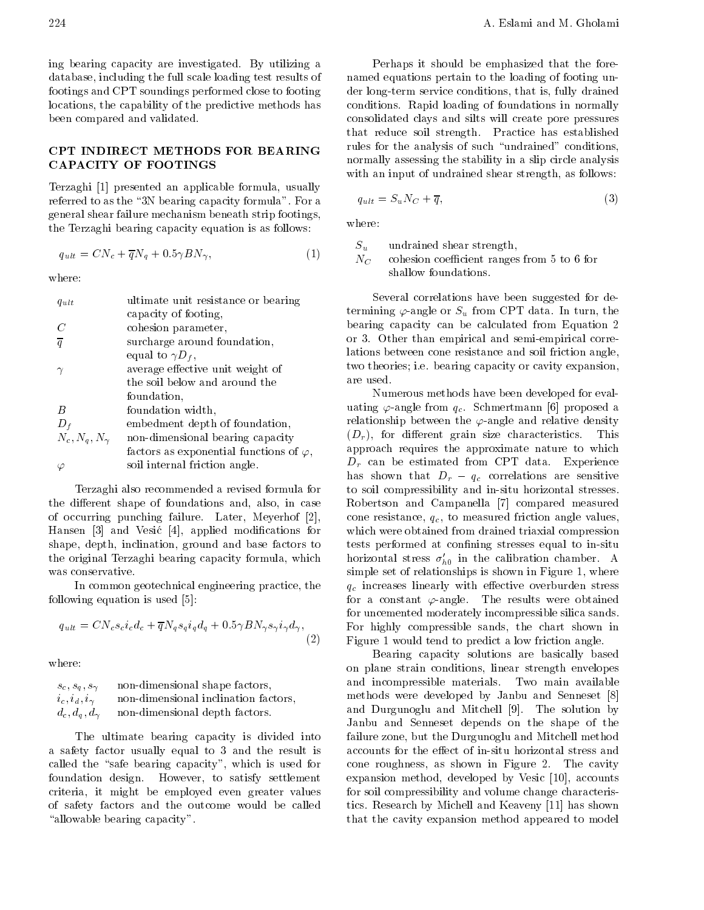ing bearing capacity are investigated. By utilizing <sup>a</sup> database, including the full scale loading test results of footings and CPT soundings performed close to footing locations, the capability of the predictive methods has been compared and validated.

## CPT INDIRECT METHODS FOR BEARING CAPACITY OF FOOTINGS

Terzaghi [1] presented an applicable formula, usually referred to as the "3N bearing capacity formula". For a general shear failure mechanism beneath strip footings, the Terzaghi bearing capacity equation is as follows:

$$
q_{ult} = CN_c + \overline{q}N_q + 0.5\gamma BN_\gamma,\tag{1}
$$

where:

| $q_{ult}$            | ultimate unit resistance or bearing             |
|----------------------|-------------------------------------------------|
|                      | capacity of footing,                            |
| $\,C$                | cohesion parameter,                             |
| $\overline{q}$       | surcharge around foundation,                    |
|                      | equal to $\gamma D_f$ ,                         |
|                      | average effective unit weight of                |
|                      | the soil below and around the                   |
|                      | foundation,                                     |
| B                    | foundation width,                               |
| $D_f$                | embedment depth of foundation,                  |
| $N_c, N_q, N_\gamma$ | non-dimensional bearing capacity                |
|                      | factors as exponential functions of $\varphi$ , |
|                      | soil internal friction angle.                   |

Terzaghi also recommended a revised formula for the different shape of foundations and, also, in case of occurring punching failure. Later, Meyerhof [2], Hansen [3] and Vesic [4], applied modications for shape, depth, inclination, ground and base factors to the original Terzaghi bearing capacity formula, which was conservative.

In common geotechnical engineering practice, the following equation is used [5]:

$$
q_{ult} = CN_c s_c i_c d_c + \overline{q} N_q s_q i_q d_q + 0.5 \gamma B N_\gamma s_\gamma i_\gamma d_\gamma, \tag{2}
$$

where:

| $s_c, s_a, s_\gamma$ | non-dimensional shape factors,       |
|----------------------|--------------------------------------|
| $i_c, i_d, i_\gamma$ | non-dimensional inclination factors, |
| $d_c, d_g, d_\gamma$ | non-dimensional depth factors.       |

The ultimate bearing capacity is divided into <sup>a</sup> safety factor usually equal to <sup>3</sup> and the result is called the "safe bearing capacity", which is used for foundation design. However, to satisfy settlement criteria, it might be employed even greater values of safety factors and the outcome would be called "allowable bearing capacity".

Perhaps it should be emphasized that the forenamed equations pertain to the loading of footing under long-term service conditions, that is, fully drained conditions. Rapid loading of foundations in normally consolidated clays and silts will create pore pressures that reduce soil strength. Practice has established rules for the analysis of such "undrained" conditions, normally assessing the stability in a slip circle analysis with an input of undrained shear strength, as follows:

$$
q_{ult} = S_u N_C + \overline{q},\tag{3}
$$

where:

 $S_u$ undrained shear strength,

 $N_C$ cohesion coefficient ranges from 5 to 6 for shallow foundations.

Several correlations have been suggested for determining  $\varphi$ -angle or  $S_u$  from CPT data. In turn, the bearing capacity can be calculated from Equation <sup>2</sup> or 3. Other than empirical and semi-empirical correlations between cone resistance and soil friction angle, two theories; i.e. bearing capacity or cavity expansion, are used.

(2) Figure 1 would tend to predict a low friction angle. Numerous methods have been developed for evaluating  $\varphi$ -angle from  $q_c$ . Schmertmann [6] proposed a relationship between the  $\varphi$ -angle and relative density  $\mathcal{L}$ , for dierent grain size characteristics. This is the distribution of  $\mathcal{L}$ approach requires the approximate nature to which Dr can be estimated from CPT data. Experience has shown that  $D_r$ questions are sensitive are sensitive and sensitive are sensitive and sensitive are sensitive and sensitive are sensitive and sensitive and sensitive are sensitive and sensitive are sensitive and sensitive are sensitive an to soil compressibility and in-situ horizontal stresses. Robertson and Campanella [7] compared measured cone resistance,  $q_c$ , to measured friction angle values, which were obtained from drained triaxial compression tests performed at confining stresses equal to in-situ horizontal stress  $\theta_{h0}$  in the calibration chamber. A simple set of relationships is shown in Figure 1, where  $\gamma$  , the stress linearly with extra stress over a stress stress stress stress. for a constant  $\varphi$ -angle. The results were obtained for uncemented moderately incompressible silica sands. For highly compressible sands, the chart shown in

> Bearing capacity solutions are basically based on plane strain conditions, linear strength envelopes and incompressible materials. Two main available methods were developed by Janbu and Senneset [8] and Durgunoglu and Mitchell [9]. The solution by Janbu and Senneset depends on the shape of the failure zone, but the Durgunoglu and Mitchell method accounts for the effect of in-situ horizontal stress and cone roughness, as shown in Figure 2. The cavity expansion method, developed by Vesic [10], accounts for soil compressibility and volume change characteristics. Research by Michell and Keaveny [11] has shown that the cavity expansion method appeared to model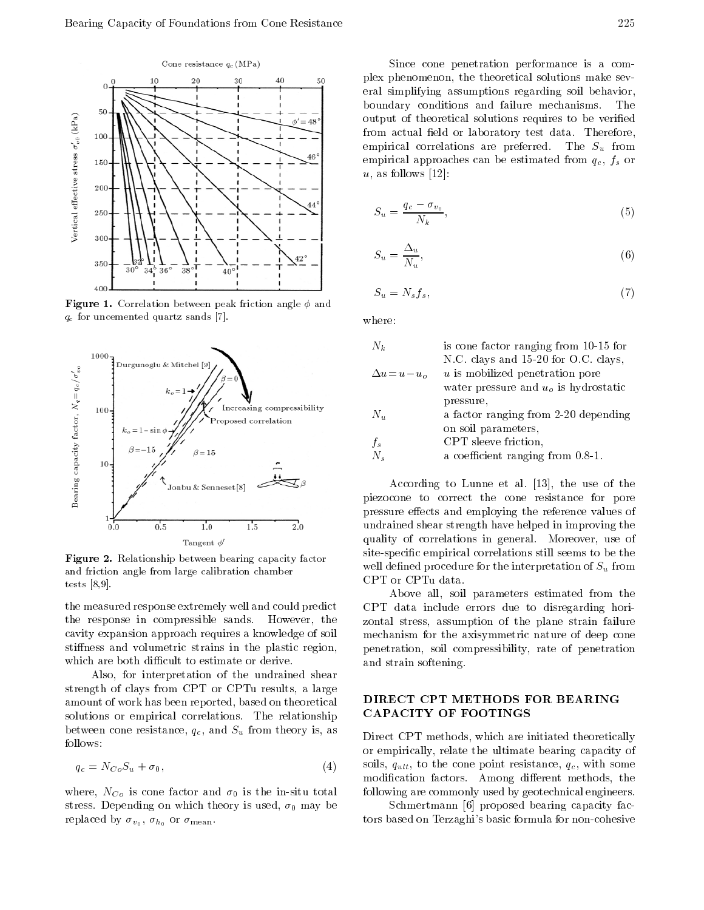

Figure 1. Correlation between peak friction angle and qc for uncemented quartz sands [7].



 $\blacksquare$   $\blacksquare$  . There is a primary between bearing capacity factor. and friction angle from large calibration chamber tests [8,9].

the measured response extremely well and could predict the response in compressible sands. However, the cavity expansion approach requires a knowledge of soil stiffness and volumetric strains in the plastic region, which are both difficult to estimate or derive.

Also, for interpretation of the undrained shear strength of clays from CPT or CPTu results, <sup>a</sup> large amount of work has been reported, based on theoretical solutions or empirical correlations. The relationship  $\begin{array}{ccc} \text{1.1c} & \text{1.1c} \end{array}$ follows:

$$
q_c = N_{Co} S_u + \sigma_0, \tag{4}
$$

where  $\mathcal{N}(U)$  is the in-situ total in-situ total in-situ total in-situ total in-situ total in-situ total in-situ total in-situ total in-situ total in-situ total in-situ total in-situ total in-situ total in-situ total i stress. Depending on which theory is used, 0 may be replaced by  $\sigma_{v_0}$ ,  $\sigma_{h_0}$  or  $\sigma_{\text{mean}}$ .

Since cone penetration performance is <sup>a</sup> complex phenomenon, the theoretical solutions make several simplifying assumptions regarding soil behavior, boundary conditions and failure mechanisms. The output of theoretical solutions requires to be veried from actual field or laboratory test data. Therefore, empirical correlations are preferred. The Su from  $\mu$  from  $\mu$ empirical approaches can be estimated from qc, fs or  $u$ , as follows [12]:

$$
S_u = \frac{q_c - \sigma_{v_0}}{N_k},\tag{5}
$$

$$
S_u = \frac{\Delta_u}{N_u},\tag{6}
$$

$$
S_u = N_s f_s,\tag{7}
$$

where:

| $N_k$                          | is cone factor ranging from 10-15 for  |
|--------------------------------|----------------------------------------|
|                                | N.C. clays and 15-20 for O.C. clays,   |
| $\Delta u = u$<br>$u_{\alpha}$ | u is mobilized penetration pore        |
|                                | water pressure and $uo$ is hydrostatic |
|                                | pressure,                              |
| $N_u$                          | a factor ranging from 2-20 depending   |
|                                | on soil parameters,                    |
| $f_s$                          | CPT sleeve friction,                   |
| $N_{s}$                        | a coefficient ranging from 0.8-1.      |

According to Lunne et al. [13], the use of the piezocone to correct the cone resistance for pore pressure effects and employing the reference values of undrained shear strength have helped in improving the quality of correlations in general. Moreover, use of site-specic empirical correlations still seems to be the well define the interpretation of the interpretation of Su from the interpretation of Su from the interpretation of Su from the interpretation of Su from the interpretation of Su from the interpretation of Su from the inte CPT or CPTu data.

Above all, soil parameters estimated from the CPT data include errors due to disregarding horizontal stress, assumption of the plane strain failure mechanism for the axisymmetric nature of deep cone penetration, soil compressibility, rate of penetration and strain softening.

# DIRECT CPT METHODS FOR BEARING CAPACITY OF FOOTINGS

Direct CPT methods, which are initiated theoretically or empirically, relate the ultimate bearing capacity of soils,  $q_{ult}$ , to the cone point resistance,  $q_c$ , with some modification factors. Among different methods, the following are commonly used by geotechnical engineers.

Schmertmann [6] proposed bearing capacity factors based on Terzaghi's basic formula for non-cohesive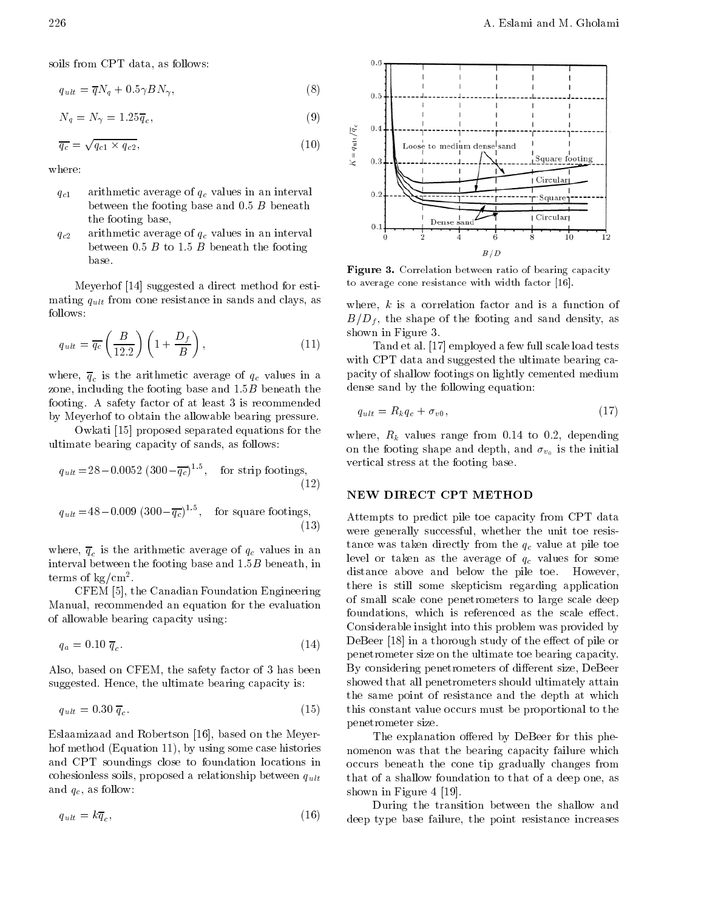soils from CPT data, as follows:

$$
q_{ult} = \overline{q}N_q + 0.5\gamma BN_\gamma,\tag{8}
$$

$$
N_q = N_\gamma = 1.25 \overline{q}_c,\tag{9}
$$

$$
\overline{q_c} = \sqrt{q_{c1} \times q_{c2}},\tag{10}
$$

where:

- $q_{c1}$ arithmetic average of  $q_c$  values in an interval between the footing base and 0.5 B beneath the footing base,
- $q_{c2}$ arithmetic average of  $q_c$  values in an interval between 0.5  $B$  to 1.5  $B$  beneath the footing base.

Meyerhof [14] suggested a direct method for estimating quantum cone resistance in sands and cone resistance in sands and class, and class, and class, and class follows:

$$
q_{ult} = \overline{q_c} \left(\frac{B}{12.2}\right) \left(1 + \frac{D_f}{B}\right),\tag{11}
$$

where arithmetic average of  $\alpha$  is the arithmetic average of  $\alpha$ zone, including the footing base and  $1.5B$  beneath the footing. <sup>A</sup> safety factor of at least 3 is recommended by Meyerhof to obtain the allowable bearing pressure.

Owkati [15] proposed separated equations for the ultimate bearing capacity of sands, as follows:

$$
q_{ult} = 28 \quad 0.0052 \ (300 \quad \overline{q_c})^{1.5}, \quad \text{for strip footings,} \tag{12}
$$

 $q_{ult} = 48$  0.009 (300  $q_c$ )<sup>---</sup>, 101 for square footings. (13)

where  $\alpha$  is the arithmetic average of  $\alpha$  is the arithmetic in an analysis in an analysis in an analysis in an analysis in an analysis in an analysis in an analysis in an analysis in an analysis in an analysis in an an interval between the footing base and  $1.5B$  beneath, in terms of  $kg/cm<sup>2</sup>$ .

CFEM [5], the Canadian Foundation Engineering Manual, recommended an equation for the evaluation of allowable bearing capacity using:

$$
q_a = 0.10 \, \overline{q}_c. \tag{14}
$$

Also, based on CFEM, the safety factor of 3 has been suggested. Hence, the ultimate bearing capacity is:

$$
q_{ult} = 0.30 \; \overline{q}_c. \tag{15}
$$

Eslaamizaad and Robertson [16], based on the Meyerhof method (Equation 11), by using some case histories and CPT soundings close to foundation locations in cohesionless soils, proposed a relationship between  $q_{ult}$ and  $q_c$ , as follow:

$$
q_{ult} = k\overline{q}_c,\tag{16}
$$



Figure 3. Correlation between ratio of bearing capacity to average cone resistance with width factor [16].

where,  $k$  is a correlation factor and is a function of  $B = D$  , the shape of the shape of the sand density, as a sand density, as a sand density, as a sand density, as a sand density, as a sand density, as a sand density of the football  $D$ shown in Figure 3.

Tand et al. [17] employed a few full scale load tests with CPT data and suggested the ultimate bearing capacity of shallow footings on lightly cemented medium dense sand by the following equation:

$$
q_{ult} = R_k q_c + \sigma_{v0},\tag{17}
$$

where  $\alpha$  is a construction of  $\alpha$  and  $\alpha$  to  $\alpha$  or  $\alpha$ . The original construction of  $\alpha$ on the footing shape and depth, and  $\sigma_{v_0}$  is the initial vertical stress at the footing base.

## NEW DIRECT CPT METHOD

Attempts to predict pile toe capacity from CPT data were generally successful, whether the unit toe resistance was taken directly from the quantum from the quantum from the  $q$  -pile toe value at pile toe value at pile toe value at pile toe value at pile toe value at pile toe value at pile toe value at pile toe value at pile level or taken as the average of  $\alpha$ distance above and below the pile toe. However, there is still some skepticism regarding application of small scale cone penetrometers to large scale deep foundations, which is referenced as the scale effect. Considerable insight into this problem was provided by DeBeer [18] in a thorough study of the effect of pile or penetrometer size on the ultimate toe bearing capacity. By considering penetrometers of different size, DeBeer showed that all penetrometers should ultimately attain the same point of resistance and the depth at which this constant value occurs must be proportional to the penetrometer size.

that of a shallow foundation to that of a deep one, as The explanation offered by DeBeer for this phenomenon was that the bearing capacity failure which occurs beneath the cone tip gradually changes from shown in Figure 4 [19].

During the transition between the shallow and deep type base failure, the point resistance increases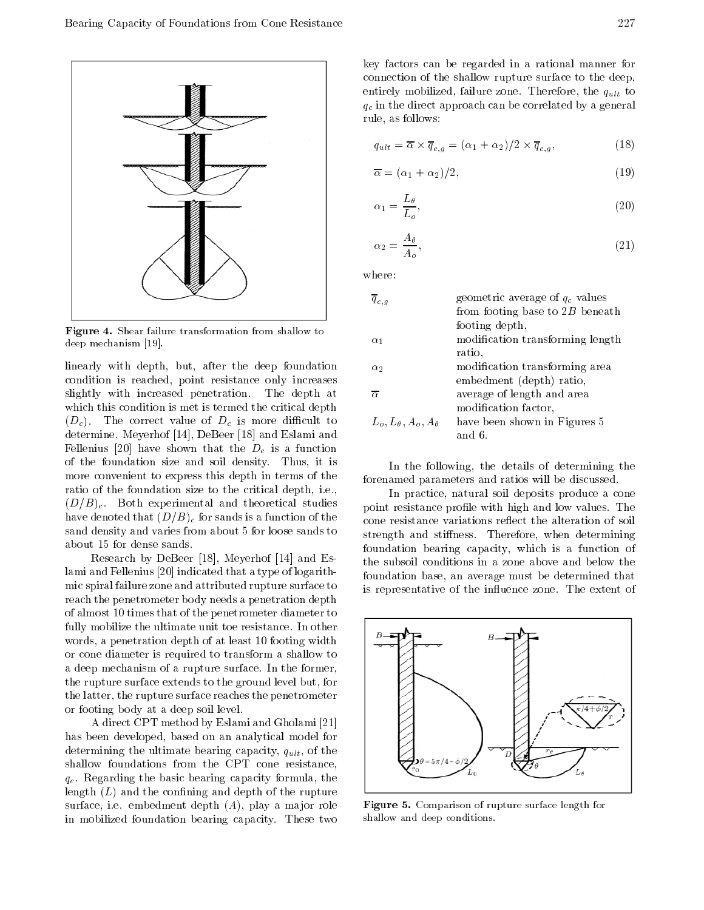

Figure 4. Shear failure transformation from shallow to deep mechanism [19].

linearly with depth, but, after the deep foundation condition is reached, point resistance only increases slightly with increased penetration. The depth at which this condition is met is termed the critical depth (Dc). The correct value of Dc is more dicult to determine. Meyerhof [14], DeBeer [18] and Eslami and Fellenius [20] have shown that the Dc is <sup>a</sup> function of the foundation size and soil density. Thus, it is more convenient to express this depth in terms of the ratio of the foundation size to the critical depth, i.e.,  $(D/B)<sub>c</sub>$ . Both experimental and theoretical studies have denoted that  $(\equiv E)$  for sands is a function of the function of the function of the function of the function of the function of the function of the function of the function of the function of the function of the funct sand density and varies from about 5 for loose sands to about 15 for dense sands.

Research by DeBeer [18], Meyerhof [14] and Eslami and Fellenius [20] indicated that a type of logarithmic spiral failure zone and attributed rupture surface to reach the penetrometer body needs a penetration depth of almost 10 times that of the penetrometer diameter to fully mobilize the ultimate unit toe resistance. In other words, a penetration depth of at least 10 footing width or cone diameter is required to transform a shallow to <sup>a</sup> deep mechanism of a rupture surface. In the former, the rupture surface extends to the ground level but, for the latter, the rupture surface reaches the penetrometer or footing body at a deep soil level.

<sup>A</sup> direct CPT method by Eslami and Gholami [21] has been developed, based on an analytical model for determining the ultimate bearing capacity, quick , of the state of the ultimate  $\sim$ shallow foundations from the CPT cone resistance,  $q_c$ . Regarding the basic bearing capacity formula, the length  $(L)$  and the confining and depth of the rupture surface, i.e. embedment depth  $(A)$ , play a major role in mobilized foundation bearing capacity. These two

key factors can be regarded in <sup>a</sup> rational manner for connection of the shallow rupture surface to the deep, entirely mobilized, failure zone. Therefore, the group of the quantity of the quantity of the quantity of the quantity of the quantity of the quantity of the quantity of the quantity of the quantity of the quantity of the  $\mathcal{I}$  in the direct approach can be correlated by a general by a general by a general by a general by a general by a general by a general by a general by a general by a general by a general by a general by a general by rule, as follows:

$$
q_{ult} = \overline{\alpha} \times \overline{q}_{c,g} = (\alpha_1 + \alpha_2)/2 \times \overline{q}_{c,g},
$$
\n(18)

$$
\overline{\alpha} = (\alpha_1 + \alpha_2)/2,\tag{19}
$$

$$
\alpha_1 = \frac{L_\theta}{L_o},\tag{20}
$$

$$
\alpha_2 = \frac{A_\theta}{A_o},\tag{21}
$$

where:

| $\overline{q}_{c,q}$           | geometric average of $q_c$ values |
|--------------------------------|-----------------------------------|
|                                | from footing base to $2B$ beneath |
|                                | footing depth,                    |
| $\alpha_1$                     | modification transforming length  |
|                                | ratio,                            |
| $\alpha_2$                     | modification transforming area    |
|                                | embedment (depth) ratio,          |
| $\overline{\alpha}$            | average of length and area        |
|                                | modification factor,              |
| $L_o, L_\theta, A_o, A_\theta$ | have been shown in Figures 5      |
|                                | and 6.                            |

In the following, the details of determining the forenamed parameters and ratios will be discussed.

In practice, natural soil deposits produce a cone point resistance profile with high and low values. The cone resistance variations reflect the alteration of soil strength and stiffness. Therefore, when determining foundation bearing capacity, which is <sup>a</sup> function of the subsoil conditions in <sup>a</sup> zone above and below the foundation base, an average must be determined that is representative of the influence zone. The extent of



Figure 5. Comparison of rupture surface length for shallow and deep conditions.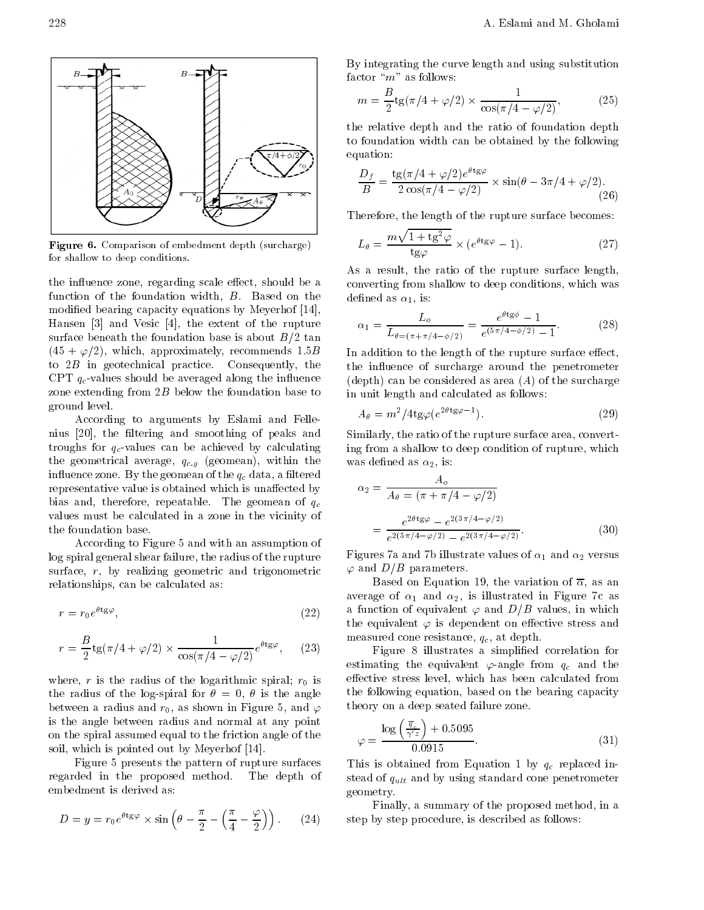

Figure 6. Comparison of embedment depth (surcharge) for shallow to deep conditions.

the influence zone, regarding scale effect, should be a function of the foundation width, B. Based on the modied bearing capacity equations by Meyerhof [14], Hansen [3] and Vesic [4], the extent of the rupture surface beneath the foundation base is about  $B/2$  tan  $(45 + \varphi/2)$ , which, approximately, recommends 1.5B to  $2B$  in geotechnical practice. Consequently, the CPT  $q_c$ -values should be averaged along the influence zone extending from  $2B$  below the foundation base to ground level.

According to arguments by Eslami and Fellenius [20], the filtering and smoothing of peaks and troughs for  $q_c$ -values can be achieved by calculating the geometrical average, quantum  $\Omega$  and  $\Omega$  are  $\Omega$  and  $\Omega$ in the geometric state  $\mathbf{u}$  and  $\mathbf{u}$ representative value is obtained which is unaffected by bias and, therefore, repeatable. The geomean of  $q_c$ values must be calculated in a zone in the vicinity of the foundation base.

According to Figure 5 and with an assumption of log spiral general shear failure, the radius of the rupture surface, r, by realizing geometric and trigonometric relationships, can be calculated as:

$$
r = r_0 e^{\theta t_{\rm g}\varphi},\tag{22}
$$

$$
r = \frac{B}{2} \operatorname{tg}(\pi/4 + \varphi/2) \times \frac{1}{\cos(\pi/4 - \varphi/2)} e^{\theta \operatorname{tg}\varphi}, \quad (23)
$$

where  $\alpha$  is the radius of the radius of the logarithmic spiral; rotational; rotational; rotations  $\alpha$  is the radius of the logarithmic spiral; rotations in the logarithmic spiral; rotations in the logarithmic spiral; r the radius of the log-spiral for  $\theta = 0$ ,  $\theta$  is the angle between a radius and  $r_0$ , as shown in Figure 5, and  $\varphi$ is the angle between radius and normal at any point on the spiral assumed equal to the friction angle of the soil, which is pointed out by Meyerhof [14].

Figure 5 presents the pattern of rupture surfaces regarded in the proposed method. The depth of embedment is derived as:

$$
D = y = r_0 e^{\theta t_{\rm g}\varphi} \times \sin\left(\theta - \frac{\pi}{2} - \left(\frac{\pi}{4} - \frac{\varphi}{2}\right)\right).
$$
 (24) s

By integrating the curve length and using substitution factor " $m$ " as follows:

$$
m = \frac{B}{2} \text{tg}(\pi/4 + \varphi/2) \times \frac{1}{\cos(\pi/4 - \varphi/2)},
$$
 (25)

the relative depth and the ratio of foundation depth to foundation width can be obtained by the following equation:

$$
\frac{D_f}{B} = \frac{\text{tg}(\pi/4 + \varphi/2)e^{\theta t_{\text{g}\varphi}}}{2\cos(\pi/4 - \varphi/2)} \times \sin(\theta - 3\pi/4 + \varphi/2). \tag{26}
$$

Therefore, the length of the rupture surface becomes:

$$
L_{\theta} = \frac{m\sqrt{1 + \text{tg}^2 \varphi}}{\text{tg}\varphi} \times (e^{\theta \text{tg}\varphi} - 1). \tag{27}
$$

As <sup>a</sup> result, the ratio of the rupture surface length, converting from shallow to deep conditions, which was defined as  $\alpha_1$ , is:

$$
\alpha_1 = \frac{L_o}{L_{\theta = (\pi + \pi/4 - \phi/2)}} = \frac{e^{\theta \text{tg}\phi} - 1}{e^{(\pi/4 - \phi/2)} - 1}.
$$
 (28)

In addition to the length of the rupture surface effect, the influence of surcharge around the penetrometer (depth) can be considered as area  $(A)$  of the surcharge in unit length and calculated as follows:

$$
A_{\theta} = m^2 / 4 \text{tg} \varphi (e^{2\theta \text{tg} \varphi - 1}). \tag{29}
$$

Similarly, the ratio of the rupture surface area, converting from a shallow to deep condition of rupture, which was defined as  $\alpha_2$ , is:

$$
\alpha_2 = \frac{A_o}{A_\theta = (\pi + \pi/4 - \varphi/2)}
$$
  
= 
$$
\frac{e^{2\theta \text{tg}\varphi} - e^{2(3\pi/4 - \varphi/2)}}{e^{2(5\pi/4 - \varphi/2)} - e^{2(3\pi/4 - \varphi/2)}}.
$$
 (30)

Figures 7a and 7b illustrate values of 1 and 2 versus  $\varphi$  and  $D/B$  parameters.

Based on Equation 19, the variation of  $\overline{\alpha}$ , as an average of 1 and 2, is in Figure 7c as in Figure 7c as a function of equivalent  $\varphi$  and  $D/B$  values, in which the equivalent  $\varphi$  is dependent on effective stress and measured cone resistance,  $q_c$ , at depth.

Figure <sup>8</sup> illustrates <sup>a</sup> simplied correlation for estimating the equivalent  $\varphi$ -angle from  $q_c$  and the effective stress level, which has been calculated from the following equation, based on the bearing capacity theory on a deep seated failure zone.

$$
\varphi = \frac{\log\left(\frac{\overline{q}_c}{\gamma'z}\right) + 0.5095}{0.0915}.\tag{31}
$$

This is obtained from Equation 1 by  $\mathcal{L}$  and  $\mathcal{L}$  replaced instead of  $\sim$  using standard cone penetrometers standard cone penetrometers and penetrometers  $\sim$  penetrometers  $\sim$ geometry.

Finally, a summary of the proposed method, in a step by step procedure, is described as follows: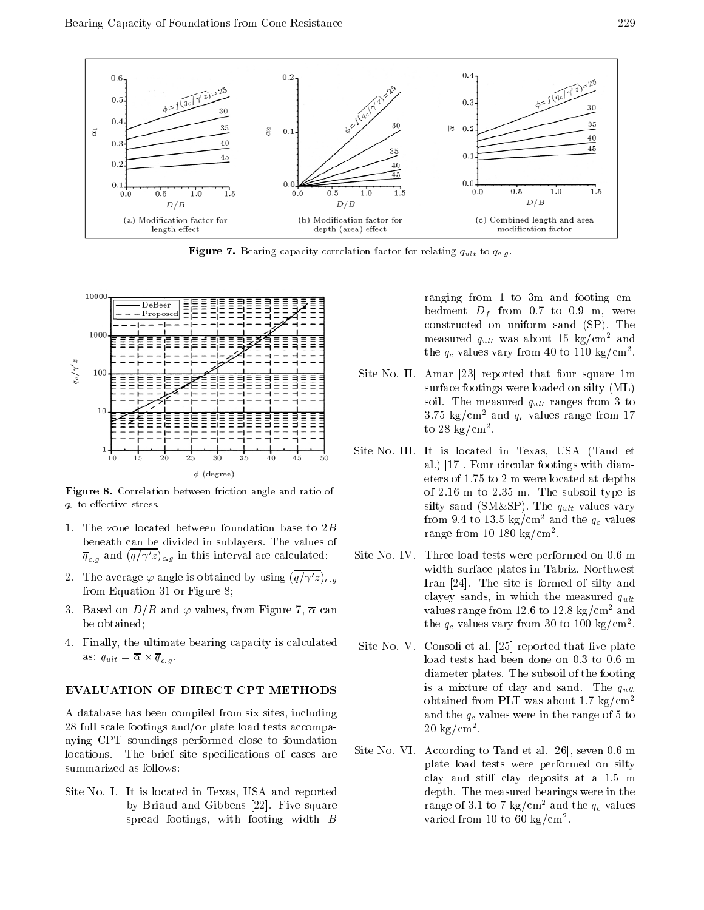

 $\mathbf{F}$  figure 7. Becausing capacity correlation for relation for all  $\mathbf{g}$  ,  $\mathbf{g}$  .



Figure 8. Correlation between friction angle and ratio of  $\mathbf{q}_1$  to extreme stress. The extreme stress is the stress stress. The extreme stress is the stress stress.

- 1. The zone located between foundation base to 2B beneath can be divided in sublayers. The values of  $q_{c,g}$  and  $(q/\gamma z)_{c,g}$  in this interval are calculated,
- 2. The average  $\varphi$  angle is obtained by using  $(\overline{q/\gamma'}z)_{c,q}$ from Equation 31 or Figure 8;
- 3. Based on  $D/B$  and  $\varphi$  values, from Figure 7,  $\overline{\alpha}$  can be obtained;
- 4. Finally, the ultimate bearing capacity is calculated  $\overline{a}$  and  $\overline{a}$  are  $\overline{a}$  and  $\overline{a}$  are  $\overline{a}$  and  $\overline{a}$  are  $\overline{a}$  and  $\overline{a}$  are  $\overline{a}$  and  $\overline{a}$  are  $\overline{a}$  and  $\overline{a}$  are  $\overline{a}$  and  $\overline{a}$  are  $\overline{a}$  and  $\overline{a}$  are  $\overline{a}$  and

# EVALUATION OF DIRECT CPT METHODS

<sup>A</sup> database has been compiled from six sites, including <sup>28</sup> full scale footings and/or plate load tests accompanying CPT soundings performed close to foundation locations. The brief site specifications of cases are summarized as follows:

Site No. I. It is located in Texas, USA and reported by Briaud and Gibbens [22]. Five square spread footings, with footing width B

ranging from <sup>1</sup> to 3m and footing embedment Df from 0.7 to 0.9 m, were constructed on uniform sand (SP). The measured  $q_{ult}$  was about 15 kg/cm- and the  $q_c$  values vary from 40 to 110 kg/cm<sup>-</sup>.

- Site No. II. Amar [23] reported that four square 1m surface footings were loaded on silty (ML) so the measured  $\alpha$  and  $\alpha$  to  $\alpha$  to  $\alpha$  $3.75$  kg/cm<sup>-</sup> and  $q_c$  values range from 17 to 28 kg/cm2 .
- Site No. III. It is located in Texas, USA (Tand et al.) [17]. Four circular footings with diameters of 1.75 to 2 m were located at depths of 2.16 <sup>m</sup> to 2.35 m. The subsoil type is silty same of (SM&SP). The quick values values values values values values values values values values values from 9.4 to 15.5 kg/cm<sup>-</sup> and the  $q_c$  values range from 10-180 kg/cm2 .
- Site No. IV. Three load tests were performed on 0.6 m width surface plates in Tabriz, Northwest Iran [24]. The site is formed of silty and clayey sands, in which the measured  $q_{ult}$ values range from 12.6 to 12.8 kg/cm<sup>2</sup> and the  $q_c$  values vary from 30 to 100 kg/cm<sup>2</sup>.
- Site No. V. Consoli et al.  $[25]$  reported that five plate load tests had been done on 0.3 to 0.6 m diameter plates. The subsoil of the footing is a mixture of clay and sand. The  $q_{ult}$ obtained from PLT was about 1.7 kg/cm<sup>2</sup> and the qualitation were in the range of  $\alpha$  to  $\alpha$ <sup>20</sup> kg/cm2 .
- Site No. VI. According to Tand et al. [26], seven 0.6 m plate load tests were performed on silty clay and stiff clay deposits at a 1.5 m depth. The measured bearings were in the range of 3.1 to 7 kg/cm<sup>-</sup> and the  $q_c$  values varied from 10 to 60 kg/cm<sup>-</sup>.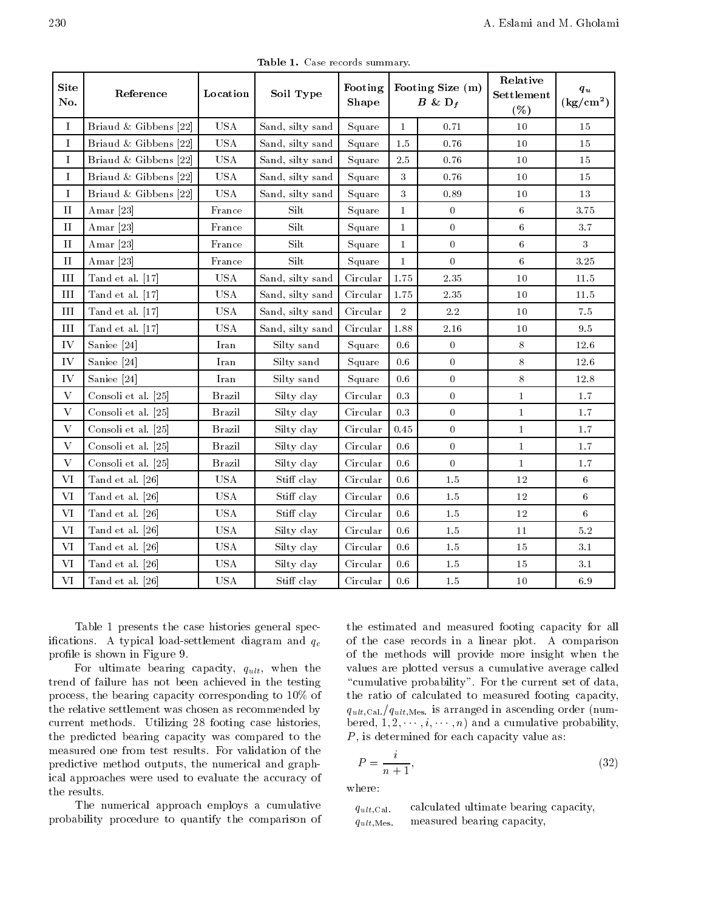| <b>Site</b><br>No. | Reference             | Location                                                                                                          | Soil Type        | Footing<br>Shape | Footing Size (m)<br>$B \& D_f$ |                  | Relative<br>Settlement<br>( %) | $q_u$<br>$\rm (kg/cm^2)$ |
|--------------------|-----------------------|-------------------------------------------------------------------------------------------------------------------|------------------|------------------|--------------------------------|------------------|--------------------------------|--------------------------|
| $\bf{I}$           | Briaud & Gibbens [22] | $_{\rm USA}$                                                                                                      | Sand, silty sand | Square           | $\mathbf{1}$                   | 0.71             | 10                             | 15                       |
| $\bf{I}$           | Briaud & Gibbens [22] | USA                                                                                                               | Sand, silty sand | Square           | $1.5\,$                        | 0.76             | $10\,$                         | 15                       |
| Ι.                 | Briaud & Gibbens [22] | $_{\rm USA}$                                                                                                      | Sand, silty sand | Square           | $2.5\,$                        | 0.76             | $10\,$                         | 15                       |
| $\bf{I}$           | Briaud & Gibbens [22] | $_{\rm USA}$                                                                                                      | Sand, silty sand | Square           | 3                              | 0.76             | 10                             | 15                       |
| $\bf{I}$           | Briaud & Gibbens [22] | $_{\rm USA}$                                                                                                      | Sand, silty sand | Square           | 3                              | 0.89             | $10\,$                         | 13                       |
| $\rm II$           | Amar $[23]$           | France                                                                                                            | Silt             | Square           | $\mathbf{1}$                   | $\boldsymbol{0}$ | $\,6$                          | 3.75                     |
| $\rm II$           | Amar <sup>[23]</sup>  | France                                                                                                            | Silt             | Square           | $\mathbf{1}$                   | $\boldsymbol{0}$ | $\,6\,$                        | 3.7                      |
| $_{II}$            | Amar $[23]$           | France                                                                                                            | Silt             | Square           | $\mathbf{1}$                   | $\theta$         | 6                              | 3                        |
| $\rm II$           | Amar $[23]$           | France                                                                                                            | Silt             | Square           | $\mathbf{1}$                   | $\theta$         | $\,6\,$                        | 3.25                     |
| Ш                  | Tand et al. [17]      | <b>USA</b>                                                                                                        | Sand, silty sand | Circular         | 1.75                           | $2.35\,$         | $10\,$                         | $11.5\,$                 |
| $\rm III$          | Tand et al. [17]      | USA                                                                                                               | Sand, silty sand | Circular         | 1.75                           | 2.35             | $10\,$                         | 11.5                     |
| III                | Tand et al. [17]      | $_{\rm USA}$                                                                                                      | Sand, silty sand | Circular         | $\overline{2}$                 | $2.2\,$          | 10                             | 7.5                      |
| III                | Tand et al. [17]      | $_{\rm USA}$                                                                                                      | Sand, silty sand | Circular         | 1.88                           | $2.16\,$         | $10\,$                         | $9.5\,$                  |
| IV                 | Saniee [24]           | $\operatorname*{Iran}% \left( \mathcal{N}\right) \equiv\operatorname*{Tr}_{\mathcal{N}}\left( \mathcal{N}\right)$ | Silty sand       | Square           | 0.6                            | $\boldsymbol{0}$ | 8                              | 12.6                     |
| IV                 | Saniee [24]           | Iran                                                                                                              | Silty sand       | Square           | 0.6                            | $\overline{0}$   | $8\,$                          | 12.6                     |
| IV                 | Saniee [24]           | Iran                                                                                                              | Silty sand       | Square           | $0.6\,$                        | $\overline{0}$   | $8\,$                          | $12.8\,$                 |
| $\rm V$            | Consoli et al. [25]   | <b>Brazil</b>                                                                                                     | Silty clay       | Circular         | 0.3                            | $\overline{0}$   | $\mathbf{1}$                   | $1.7\,$                  |
| $\mathbf{V}$       | Consoli et al. [25]   | <b>Brazil</b>                                                                                                     | Silty clay       | Circular         | $\rm 0.3$                      | $\overline{0}$   | $\mathbf{1}$                   | 1.7                      |
| $\mathbf{V}$       | Consoli et al. [25]   | <b>Brazil</b>                                                                                                     | Silty clay       | Circular         | 0.45                           | $\theta$         | $\mathbf{1}$                   | $1.7\,$                  |
| $\mathbf{V}$       | Consoli et al. [25]   | <b>Brazil</b>                                                                                                     | Silty clay       | Circular         | 0.6                            | $\overline{0}$   | $\mathbf{1}$                   | $1.7\,$                  |
| $\mathbf{V}$       | Consoli et al. [25]   | Brazil                                                                                                            | Silty clay       | Circular         | $0.6\,$                        | $\boldsymbol{0}$ | $\mathbf{1}$                   | $1.7\,$                  |
| VI                 | Tand et al. [26]      | <b>USA</b>                                                                                                        | Stiff clay       | Circular         | 0.6                            | 1.5              | $12\,$                         | 6                        |
| VI                 | Tand et al. [26]      | <b>USA</b>                                                                                                        | Stiff clay       | Circular         | 0.6                            | 1.5              | 12                             | 6                        |
| VI                 | Tand et al. [26]      | USA                                                                                                               | Stiff clay       | Circular         | $0.6\,$                        | $1.5\,$          | $12\,$                         | 6                        |
| VI                 | Tand et al. [26]      | <b>USA</b>                                                                                                        | Silty clay       | Circular         | 0.6                            | 1.5              | $11\,$                         | $5.2\,$                  |
| VI                 | Tand et al. [26]      | $_{\rm USA}$                                                                                                      | Silty clay       | Circular         | $0.6\,$                        | $1.5\,$          | 15                             | 3.1                      |
| <b>VI</b>          | Tand et al. [26]      | $_{\rm USA}$                                                                                                      | Silty clay       | Circular         | $0.6\,$                        | $1.5\,$          | 15                             | 3.1                      |
| VI                 | Tand et al. [26]      | $_{\rm USA}$                                                                                                      | Stiff clay       | Circular         | $0.6\,$                        | $1.5\,$          | $10\,$                         | 6.9                      |

Table 1. Case records summary.

Table <sup>1</sup> presents the case histories general specifications. A typical load-settlement diagram and  $q_c$ profile is shown in Figure 9.

 $\mathbf{F}$  and the proposition of the bearing capacity, when the set of the bearing capacity, when the set of the set of the set of the set of the set of the set of the set of the set of the set of the set of the set of the trend of failure has not been achieved in the testing process, the bearing capacity corresponding to 10% of the relative settlement was chosen as recommended by current methods. Utilizing <sup>28</sup> footing case histories, the predicted bearing capacity was compared to the measured one from test results. For validation of the predictive method outputs, the numerical and graphical approaches were used to evaluate the accuracy of the results.

The numerical approach employs <sup>a</sup> cumulative probability procedure to quantify the comparison of

 of the case records in <sup>a</sup> linear plot. <sup>A</sup> comparison the estimated and measured footing capacity for all of the methods will provide more insight when the values are plotted versus <sup>a</sup> cumulative average called "cumulative probability". For the current set of data, the ratio of calculated to measured footing capacity, quit; Cal. (quit, Mes. is arranged in ascending order (number bered,  $1, 2, \dots, i, \dots, n$  and a cumulative probability,  $P$ , is determined for each capacity value as:

$$
P = \frac{i}{n+1},\tag{32}
$$

where:

 $q_{ult,Cal.}$  calculated ultimate bearing capacity,  $q_{ult,Mes.}$ measured bearing capacity,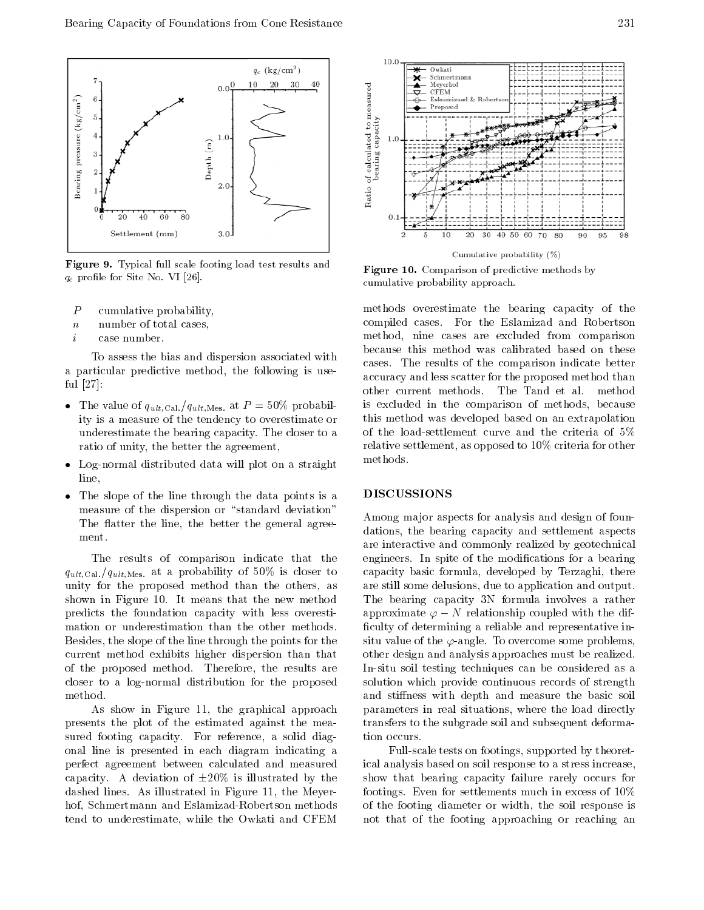

Figure 9. Typical full scale footing load test results and que provincia este montre e con un algorithment.

- P cumulative probability,
- n number of total cases,
- i case number.

To assess the bias and dispersion associated with <sup>a</sup> particular predictive method, the following is useful [27]:

- The value of  $q$  at  $\alpha$  is probability of  $\alpha$  at P  $\alpha$  at P  $\alpha$  probability probability  $\rho$  at P  $\alpha$  probability  $\rho$  at P  $\alpha$  at P  $\alpha$  at P  $\alpha$  at P  $\alpha$  at P  $\alpha$  at P  $\alpha$  at P  $\alpha$  at P  $\alpha$  at P  $\alpha$  at P  $\$ ity is a measure of the tendency to overestimate or underestimate the bearing capacity. The closer to a ratio of unity, the better the agreement,
- Log-normal distributed data will plot on a straight line,
- The slope of the line through the data points is <sup>a</sup> measure of the dispersion or "standard deviation" The flatter the line, the better the general agreement.

The results of comparison indicate that the quater, and a probability of a probability of  $\sim$  50% is closed to 50% is closed. unity for the proposed method than the others, as shown in Figure 10. It means that the new method predicts the foundation capacity with less overestimation or underestimation than the other methods. Besides, the slope of the line through the points for the current method exhibits higher dispersion than that of the proposed method. Therefore, the results are closer to <sup>a</sup> log-normal distribution for the proposed method.

As show in Figure 11, the graphical approach presents the plot of the estimated against the measured footing capacity. For reference, <sup>a</sup> solid diagonal line is presented in each diagram indicating <sup>a</sup> perfect agreement between calculated and measured capacity. A deviation of  $\pm 20\%$  is illustrated by the dashed lines. As illustrated in Figure 11, the Meyerhof, Schmertmann and Eslamizad-Robertson methods tend to underestimate, while the Owkati and CFEM



Figure 10. Comparison of predictive methods by cumulative probability approach.

methods overestimate the bearing capacity of the compiled cases. For the Eslamizad and Robertson method, nine cases are excluded from comparison because this method was calibrated based on these cases. The results of the comparison indicate better accuracy and less scatter for the proposed method than other current methods. The Tand et al. method is excluded in the comparison of methods, because this method was developed based on an extrapolation of the load-settlement curve and the criteria of 5% relative settlement, as opposed to 10% criteria for other methods.

#### DISCUSSIONS

Among major aspects for analysis and design of foundations, the bearing capacity and settlement aspects are interactive and commonly realized by geotechnical engineers. In spite of the modications for <sup>a</sup> bearing capacity basic formula, developed by Terzaghi, there are still some delusions, due to application and output. The bearing capacity 3N formula involves <sup>a</sup> rather approximate  $\varphi$  N relationship coupled with the difficulty of determining a reliable and representative insitu value of the  $\varphi$ -angle. To overcome some problems, other design and analysis approaches must be realized. In-situ soil testing techniques can be considered as <sup>a</sup> solution which provide continuous records of strength and stiffness with depth and measure the basic soil parameters in real situations, where the load directly transfers to the subgrade soil and subsequent deformation occurs.

Full-scale tests on footings, supported by theoretical analysis based on soil response to a stress increase, show that bearing capacity failure rarely occurs for footings. Even for settlements much in excess of 10% of the footing diameter or width, the soil response is not that of the footing approaching or reaching an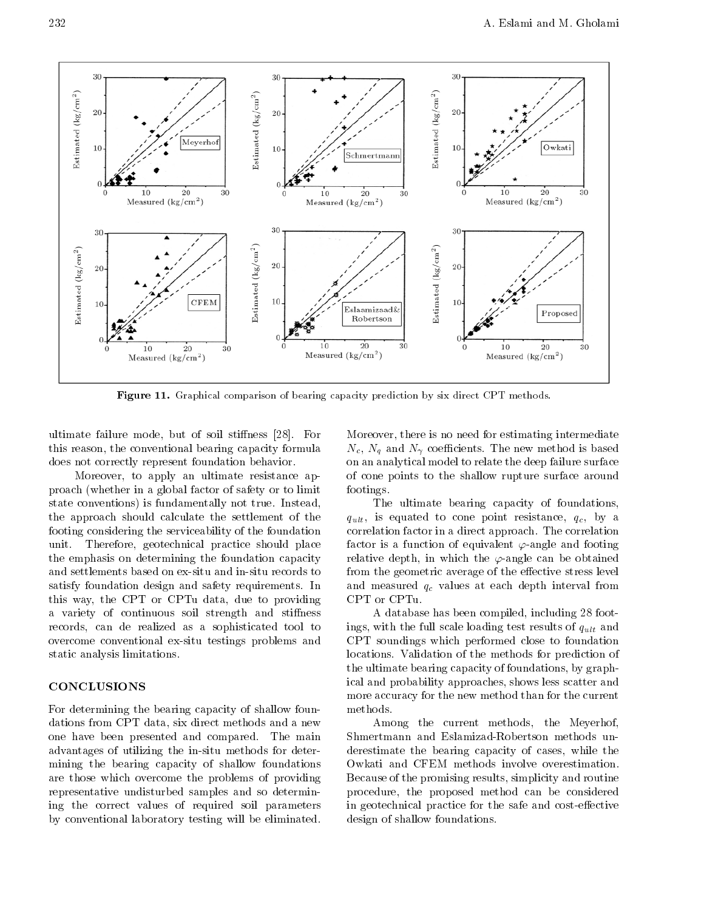

Figure 11. Graphical comparison of bearing capacity prediction by six direct CPT methods.

ultimate failure mode, but of soil stiffness [28]. For this reason, the conventional bearing capacity formula does not correctly represent foundation behavior.

Moreover, to apply an ultimate resistance approach (whether in a global factor of safety or to limit state conventions) is fundamentally not true. Instead, the approach should calculate the settlement of the footing considering the serviceability of the foundation unit. Therefore, geotechnical practice should place the emphasis on determining the foundation capacity and settlements based on ex-situ and in-situ records to satisfy foundation design and safety requirements. In this way, the CPT or CPTu data, due to providing a variety of continuous soil strength and stiffness records, can de realized as <sup>a</sup> sophisticated tool to overcome conventional ex-situ testings problems and static analysis limitations.

#### CONCLUSIONS

For determining the bearing capacity of shallow foundations from CPT data, six direct methods and a new one have been presented and compared. The main advantages of utilizing the in-situ methods for determining the bearing capacity of shallow foundations are those which overcome the problems of providing representative undisturbed samples and so determining the correct values of required soil parameters by conventional laboratory testing will be eliminated.

Moreover, there is no need for estimating intermediate Nc, Nq and N coecients. The new method is based on an analytical model to relate the deep failure surface of cone points to the shallow rupture surface around footings.

The ultimate bearing capacity of foundations,  $q_{\rm UUV}$  , is equated to cone point resistance,  $q_{\rm UUV}$  and  $q_{\rm UUV}$ correlation factor in a direct approach. The correlation factor is a function of equivalent  $\varphi$ -angle and footing relative depth, in which the  $\varphi$ -angle can be obtained from the geometric average of the effective stress level and measured at each quality at each depth interval from the each depth interval from the company of the compa CPT or CPTu.

<sup>A</sup> database has been compiled, including 28 footings, with the full scale loading test results of qult and CPT soundings which performed close to foundation locations. Validation of the methods for prediction of the ultimate bearing capacity of foundations, by graphical and probability approaches, shows less scatter and more accuracy for the new method than for the current methods.

Among the current methods, the Meyerhof, Shmertmann and Eslamizad-Robertson methods underestimate the bearing capacity of cases, while the Owkati and CFEM methods involve overestimation. Because of the promising results, simplicity and routine procedure, the proposed method can be considered in geotechnical practice for the safe and cost-effective design of shallow foundations.